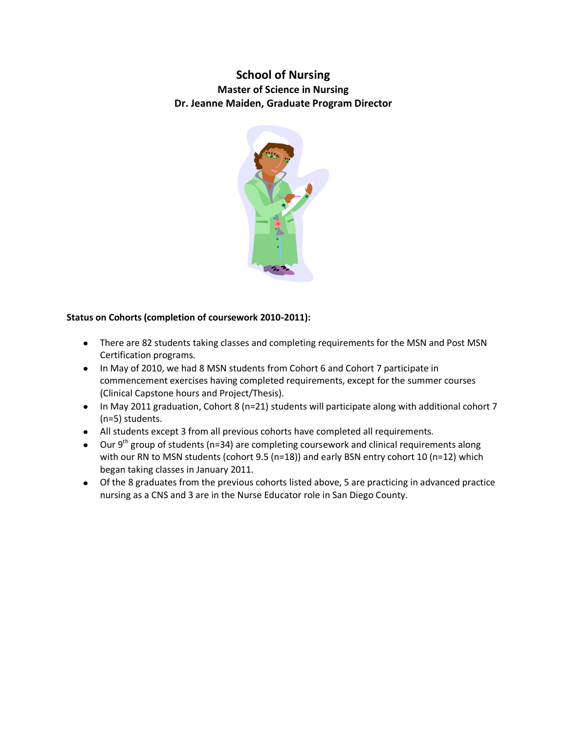# **School of Nursing Master of Science in Nursing Dr. Jeanne Maiden, Graduate Program Director**



# **Status on Cohorts (completion of coursework 2010-2011):**

- There are 82 students taking classes and completing requirements for the MSN and Post MSN Certification programs.
- In May of 2010, we had 8 MSN students from Cohort 6 and Cohort 7 participate in commencement exercises having completed requirements, except for the summer courses (Clinical Capstone hours and Project/Thesis).
- In May 2011 graduation, Cohort 8 (n=21) students will participate along with additional cohort 7 (n=5) students.
- All students except 3 from all previous cohorts have completed all requirements.
- $\bullet$  Our 9<sup>th</sup> group of students (n=34) are completing coursework and clinical requirements along with our RN to MSN students (cohort 9.5 (n=18)) and early BSN entry cohort 10 (n=12) which began taking classes in January 2011.
- Of the 8 graduates from the previous cohorts listed above, 5 are practicing in advanced practice nursing as a CNS and 3 are in the Nurse Educator role in San Diego County.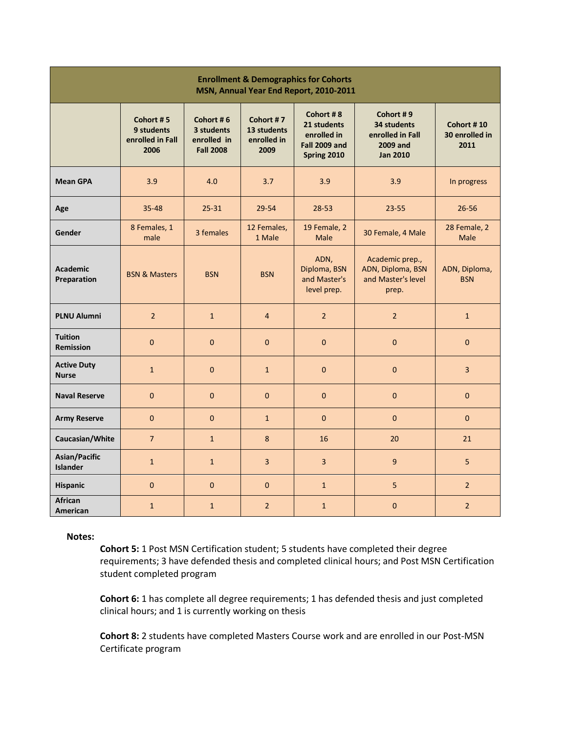| <b>Enrollment &amp; Demographics for Cohorts</b><br>MSN, Annual Year End Report, 2010-2011 |                                                     |                                                            |                                                 |                                                                                |                                                                                    |                                      |
|--------------------------------------------------------------------------------------------|-----------------------------------------------------|------------------------------------------------------------|-------------------------------------------------|--------------------------------------------------------------------------------|------------------------------------------------------------------------------------|--------------------------------------|
|                                                                                            | Cohort #5<br>9 students<br>enrolled in Fall<br>2006 | Cohort #6<br>3 students<br>enrolled in<br><b>Fall 2008</b> | Cohort #7<br>13 students<br>enrolled in<br>2009 | Cohort #8<br>21 students<br>enrolled in<br><b>Fall 2009 and</b><br>Spring 2010 | Cohort #9<br>34 students<br>enrolled in Fall<br><b>2009 and</b><br><b>Jan 2010</b> | Cohort #10<br>30 enrolled in<br>2011 |
| <b>Mean GPA</b>                                                                            | 3.9                                                 | 4.0                                                        | 3.7                                             | 3.9                                                                            | 3.9                                                                                | In progress                          |
| Age                                                                                        | $35 - 48$                                           | $25 - 31$                                                  | 29-54                                           | $28 - 53$                                                                      | $23 - 55$                                                                          | $26 - 56$                            |
| Gender                                                                                     | 8 Females, 1<br>male                                | 3 females                                                  | 12 Females,<br>1 Male                           | 19 Female, 2<br><b>Male</b>                                                    | 30 Female, 4 Male                                                                  | 28 Female, 2<br><b>Male</b>          |
| <b>Academic</b><br>Preparation                                                             | <b>BSN &amp; Masters</b>                            | <b>BSN</b>                                                 | <b>BSN</b>                                      | ADN,<br>Diploma, BSN<br>and Master's<br>level prep.                            | Academic prep.,<br>ADN, Diploma, BSN<br>and Master's level<br>prep.                | ADN, Diploma,<br><b>BSN</b>          |
| <b>PLNU Alumni</b>                                                                         | $\overline{2}$                                      | $\mathbf{1}$                                               | $\overline{4}$                                  | $\overline{2}$                                                                 | $\overline{2}$                                                                     | $\mathbf{1}$                         |
| <b>Tuition</b><br><b>Remission</b>                                                         | $\overline{0}$                                      | $\mathbf 0$                                                | $\mathbf{0}$                                    | $\mathbf{0}$                                                                   | $\mathbf{0}$                                                                       | $\mathbf{0}$                         |
| <b>Active Duty</b><br><b>Nurse</b>                                                         | $\mathbf{1}$                                        | $\mathbf{0}$                                               | $\mathbf{1}$                                    | $\mathbf{0}$                                                                   | $\pmb{0}$                                                                          | $\overline{3}$                       |
| <b>Naval Reserve</b>                                                                       | $\overline{0}$                                      | $\overline{0}$                                             | $\mathbf{0}$                                    | $\mathbf{0}$                                                                   | $\mathbf{0}$                                                                       | $\mathbf{0}$                         |
| <b>Army Reserve</b>                                                                        | $\overline{0}$                                      | $\overline{0}$                                             | $\mathbf{1}$                                    | $\mathbf{0}$                                                                   | $\mathbf{0}$                                                                       | $\mathbf{0}$                         |
| Caucasian/White                                                                            | $\overline{7}$                                      | $\mathbf{1}$                                               | 8                                               | 16                                                                             | 20                                                                                 | 21                                   |
| Asian/Pacific<br><b>Islander</b>                                                           | $\mathbf{1}$                                        | $\mathbf{1}$                                               | $\overline{3}$                                  | $\overline{3}$                                                                 | $\overline{9}$                                                                     | $\overline{5}$                       |
| <b>Hispanic</b>                                                                            | $\overline{0}$                                      | $\Omega$                                                   | $\overline{0}$                                  | $\mathbf{1}$                                                                   | 5                                                                                  | $\overline{2}$                       |
| African<br>American                                                                        | $\mathbf{1}$                                        | $\mathbf{1}$                                               | $\overline{2}$                                  | $\mathbf{1}$                                                                   | $\pmb{0}$                                                                          | $\overline{2}$                       |

**Notes:** 

**Cohort 5:** 1 Post MSN Certification student; 5 students have completed their degree requirements; 3 have defended thesis and completed clinical hours; and Post MSN Certification student completed program

**Cohort 6:** 1 has complete all degree requirements; 1 has defended thesis and just completed clinical hours; and 1 is currently working on thesis

**Cohort 8:** 2 students have completed Masters Course work and are enrolled in our Post-MSN Certificate program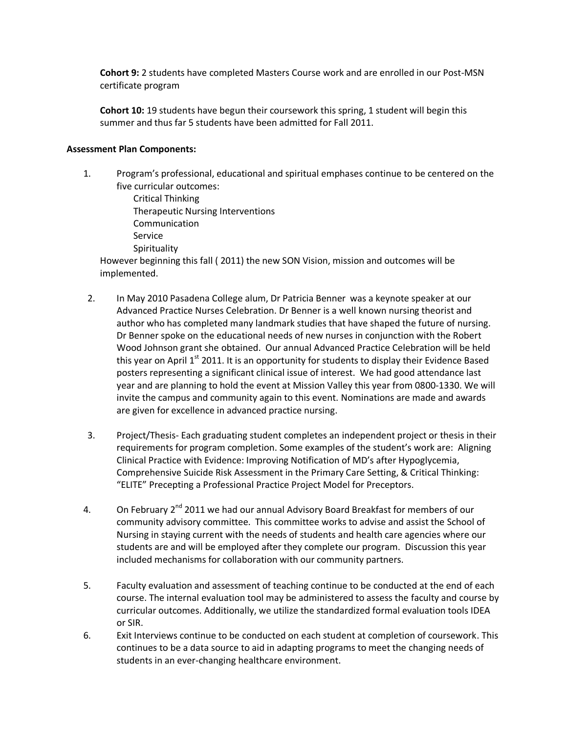**Cohort 9:** 2 students have completed Masters Course work and are enrolled in our Post-MSN certificate program

**Cohort 10:** 19 students have begun their coursework this spring, 1 student will begin this summer and thus far 5 students have been admitted for Fall 2011.

#### **Assessment Plan Components:**

- 1. Program's professional, educational and spiritual emphases continue to be centered on the five curricular outcomes:
	- Critical Thinking Therapeutic Nursing Interventions Communication Service **Spirituality**

However beginning this fall ( 2011) the new SON Vision, mission and outcomes will be implemented.

- 2. In May 2010 Pasadena College alum, Dr Patricia Benner was a keynote speaker at our Advanced Practice Nurses Celebration. Dr Benner is a well known nursing theorist and author who has completed many landmark studies that have shaped the future of nursing. Dr Benner spoke on the educational needs of new nurses in conjunction with the Robert Wood Johnson grant she obtained. Our annual Advanced Practice Celebration will be held this year on April 1<sup>st</sup> 2011. It is an opportunity for students to display their Evidence Based posters representing a significant clinical issue of interest. We had good attendance last year and are planning to hold the event at Mission Valley this year from 0800-1330. We will invite the campus and community again to this event. Nominations are made and awards are given for excellence in advanced practice nursing.
- 3. Project/Thesis- Each graduating student completes an independent project or thesis in their requirements for program completion. Some examples of the student's work are: Aligning Clinical Practice with Evidence: Improving Notification of MD's after Hypoglycemia, Comprehensive Suicide Risk Assessment in the Primary Care Setting, & Critical Thinking: "ELITE" Precepting a Professional Practice Project Model for Preceptors.
- 4. On February  $2^{nd}$  2011 we had our annual Advisory Board Breakfast for members of our community advisory committee. This committee works to advise and assist the School of Nursing in staying current with the needs of students and health care agencies where our students are and will be employed after they complete our program. Discussion this year included mechanisms for collaboration with our community partners.
- 5. Faculty evaluation and assessment of teaching continue to be conducted at the end of each course. The internal evaluation tool may be administered to assess the faculty and course by curricular outcomes. Additionally, we utilize the standardized formal evaluation tools IDEA or SIR.
- 6. Exit Interviews continue to be conducted on each student at completion of coursework. This continues to be a data source to aid in adapting programs to meet the changing needs of students in an ever-changing healthcare environment.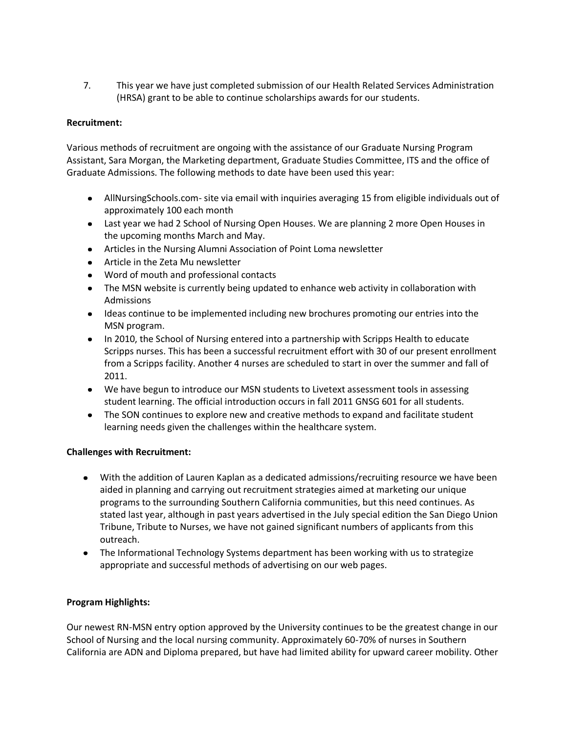7. This year we have just completed submission of our Health Related Services Administration (HRSA) grant to be able to continue scholarships awards for our students.

## **Recruitment:**

Various methods of recruitment are ongoing with the assistance of our Graduate Nursing Program Assistant, Sara Morgan, the Marketing department, Graduate Studies Committee, ITS and the office of Graduate Admissions. The following methods to date have been used this year:

- AllNursingSchools.com- site via email with inquiries averaging 15 from eligible individuals out of approximately 100 each month
- Last year we had 2 School of Nursing Open Houses. We are planning 2 more Open Houses in the upcoming months March and May.
- Articles in the Nursing Alumni Association of Point Loma newsletter
- Article in the Zeta Mu newsletter
- Word of mouth and professional contacts
- The MSN website is currently being updated to enhance web activity in collaboration with  $\bullet$ Admissions
- Ideas continue to be implemented including new brochures promoting our entries into the  $\bullet$ MSN program.
- In 2010, the School of Nursing entered into a partnership with Scripps Health to educate Scripps nurses. This has been a successful recruitment effort with 30 of our present enrollment from a Scripps facility. Another 4 nurses are scheduled to start in over the summer and fall of 2011.
- We have begun to introduce our MSN students to Livetext assessment tools in assessing student learning. The official introduction occurs in fall 2011 GNSG 601 for all students.
- The SON continues to explore new and creative methods to expand and facilitate student  $\bullet$ learning needs given the challenges within the healthcare system.

## **Challenges with Recruitment:**

- With the addition of Lauren Kaplan as a dedicated admissions/recruiting resource we have been aided in planning and carrying out recruitment strategies aimed at marketing our unique programs to the surrounding Southern California communities, but this need continues. As stated last year, although in past years advertised in the July special edition the San Diego Union Tribune, Tribute to Nurses, we have not gained significant numbers of applicants from this outreach.
- The Informational Technology Systems department has been working with us to strategize appropriate and successful methods of advertising on our web pages.

## **Program Highlights:**

Our newest RN-MSN entry option approved by the University continues to be the greatest change in our School of Nursing and the local nursing community. Approximately 60-70% of nurses in Southern California are ADN and Diploma prepared, but have had limited ability for upward career mobility. Other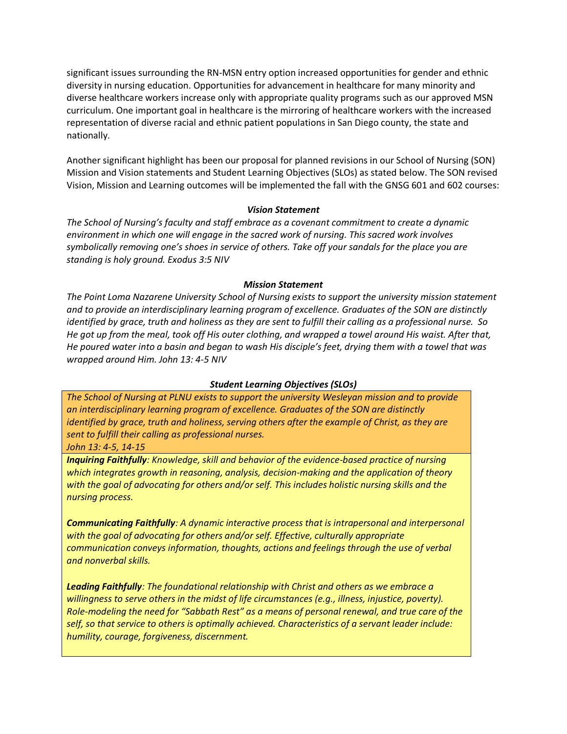significant issues surrounding the RN-MSN entry option increased opportunities for gender and ethnic diversity in nursing education. Opportunities for advancement in healthcare for many minority and diverse healthcare workers increase only with appropriate quality programs such as our approved MSN curriculum. One important goal in healthcare is the mirroring of healthcare workers with the increased representation of diverse racial and ethnic patient populations in San Diego county, the state and nationally.

Another significant highlight has been our proposal for planned revisions in our School of Nursing (SON) Mission and Vision statements and Student Learning Objectives (SLOs) as stated below. The SON revised Vision, Mission and Learning outcomes will be implemented the fall with the GNSG 601 and 602 courses:

#### *Vision Statement*

*The School of Nursing's faculty and staff embrace as a covenant commitment to create a dynamic environment in which one will engage in the sacred work of nursing. This sacred work involves symbolically removing one's shoes in service of others. Take off your sandals for the place you are standing is holy ground. Exodus 3:5 NIV*

#### *Mission Statement*

*The Point Loma Nazarene University School of Nursing exists to support the university mission statement and to provide an interdisciplinary learning program of excellence. Graduates of the SON are distinctly identified by grace, truth and holiness as they are sent to fulfill their calling as a professional nurse. So He got up from the meal, took off His outer clothing, and wrapped a towel around His waist. After that, He poured water into a basin and began to wash His disciple's feet, drying them with a towel that was wrapped around Him. John 13: 4-5 NIV*

## *Student Learning Objectives (SLOs)*

*The School of Nursing at PLNU exists to support the university Wesleyan mission and to provide an interdisciplinary learning program of excellence. Graduates of the SON are distinctly identified by grace, truth and holiness, serving others after the example of Christ, as they are sent to fulfill their calling as professional nurses.* 

*John 13: 4-5, 14-15*

*Inquiring Faithfully: Knowledge, skill and behavior of the evidence-based practice of nursing which integrates growth in reasoning, analysis, decision-making and the application of theory with the goal of advocating for others and/or self. This includes holistic nursing skills and the nursing process.*

*Communicating Faithfully: A dynamic interactive process that is intrapersonal and interpersonal with the goal of advocating for others and/or self. Effective, culturally appropriate communication conveys information, thoughts, actions and feelings through the use of verbal and nonverbal skills.*

*Leading Faithfully: The foundational relationship with Christ and others as we embrace a willingness to serve others in the midst of life circumstances (e.g., illness, injustice, poverty). Role-modeling the need for "Sabbath Rest" as a means of personal renewal, and true care of the self, so that service to others is optimally achieved. Characteristics of a servant leader include: humility, courage, forgiveness, discernment.*